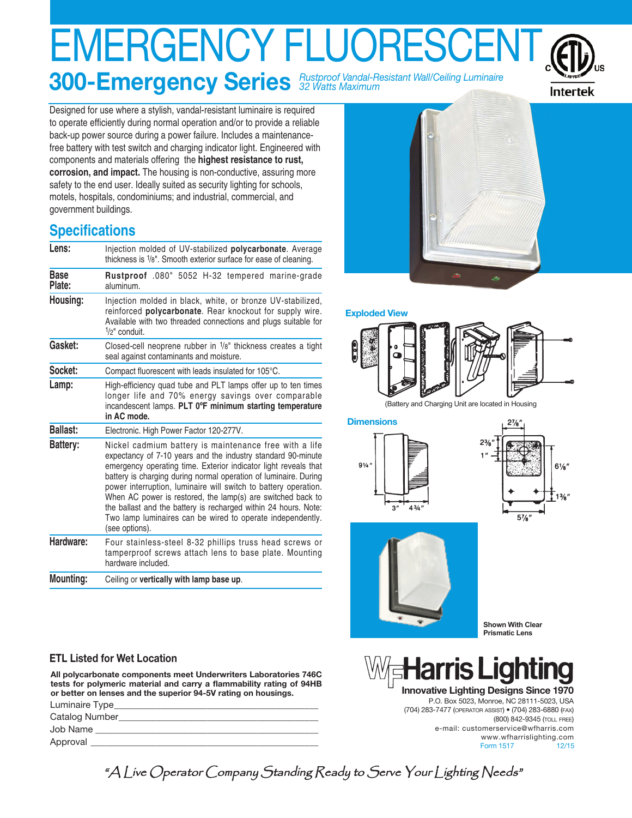# EMERGENCY FLUORESCENT **300-Emergency Series** *Rustproof Vandal-Resistant Wall/Ceiling Luminaire 32 Watts Maximum*



Designed for use where a stylish, vandal-resistant luminaire is required to operate efficiently during normal operation and/or to provide a reliable back-up power source during a power failure. Includes a maintenancefree battery with test switch and charging indicator light. Engineered with components and materials offering the **highest resistance to rust, corrosion, and impact.** The housing is non-conductive, assuring more safety to the end user. Ideally suited as security lighting for schools, motels, hospitals, condominiums; and industrial, commercial, and government buildings.

## **Specifications**

| Lens:                 | Injection molded of UV-stabilized polycarbonate. Average<br>thickness is 1/8". Smooth exterior surface for ease of cleaning.                                                                                                                                                                                                                                                                                                                                                                                                                       |  |  |  |  |  |  |
|-----------------------|----------------------------------------------------------------------------------------------------------------------------------------------------------------------------------------------------------------------------------------------------------------------------------------------------------------------------------------------------------------------------------------------------------------------------------------------------------------------------------------------------------------------------------------------------|--|--|--|--|--|--|
| <b>Base</b><br>Plate: | Rustproof .080" 5052 H-32 tempered marine-grade<br>aluminum.                                                                                                                                                                                                                                                                                                                                                                                                                                                                                       |  |  |  |  |  |  |
| Housing:              | Injection molded in black, white, or bronze UV-stabilized,<br>reinforced polycarbonate. Rear knockout for supply wire.<br>Available with two threaded connections and plugs suitable for<br>$1/2$ " conduit.                                                                                                                                                                                                                                                                                                                                       |  |  |  |  |  |  |
| Gasket:               | Closed-cell neoprene rubber in 1/8" thickness creates a tight<br>seal against contaminants and moisture.                                                                                                                                                                                                                                                                                                                                                                                                                                           |  |  |  |  |  |  |
| Socket:               | Compact fluorescent with leads insulated for 105°C.                                                                                                                                                                                                                                                                                                                                                                                                                                                                                                |  |  |  |  |  |  |
| Lamp:                 | High-efficiency quad tube and PLT lamps offer up to ten times<br>longer life and 70% energy savings over comparable<br>incandescent lamps. PLT 0°F minimum starting temperature<br>in AC mode.                                                                                                                                                                                                                                                                                                                                                     |  |  |  |  |  |  |
| <b>Ballast:</b>       | Electronic. High Power Factor 120-277V.                                                                                                                                                                                                                                                                                                                                                                                                                                                                                                            |  |  |  |  |  |  |
| Battery:              | Nickel cadmium battery is maintenance free with a life<br>expectancy of 7-10 years and the industry standard 90-minute<br>emergency operating time. Exterior indicator light reveals that<br>battery is charging during normal operation of luminaire. During<br>power interruption, luminaire will switch to battery operation.<br>When AC power is restored, the lamp(s) are switched back to<br>the ballast and the battery is recharged within 24 hours. Note:<br>Two lamp luminaires can be wired to operate independently.<br>(see options). |  |  |  |  |  |  |
| Hardware:             | Four stainless-steel 8-32 phillips truss head screws or<br>tamperproof screws attach lens to base plate. Mounting<br>hardware included.                                                                                                                                                                                                                                                                                                                                                                                                            |  |  |  |  |  |  |
| <b>Mounting:</b>      | Ceiling or vertically with lamp base up.                                                                                                                                                                                                                                                                                                                                                                                                                                                                                                           |  |  |  |  |  |  |

### **ETL Listed for Wet Location**

**All polycarbonate components meet Underwriters Laboratories 746C tests for polymeric material and carry a flammability rating of 94HB or better on lenses and the superior 94-5V rating on housings.** Luminaire Type\_\_\_\_\_\_\_\_\_\_\_\_\_\_\_\_\_\_\_\_\_\_\_\_\_\_\_\_\_\_\_\_\_\_\_\_\_\_\_\_\_\_\_\_

| $L$ ummunc $R$ |
|----------------|
| Catalog Number |
| Job Name       |
| Approval       |
|                |



#### **Exploded View**



(Battery and Charging Unit are located in Housing

**Dimensions**







**Shown With Clear Prismatic Lens**

## is l **ar**

**Innovative Lighting Designs Since 1970** P.O. Box 5023, Monroe, NC 28111-5023, USA (704) 283-7477 (OPERATOR ASSIST) • (704) 283-6880 (FAX) (800) 842-9345 (TOLL FREE) e-mail: customerservice@wfharris.com www.wfharrislighting.com Form 1517 12/15

"A Live Operator Company Standing Ready to Serve Your Lighting Needs"